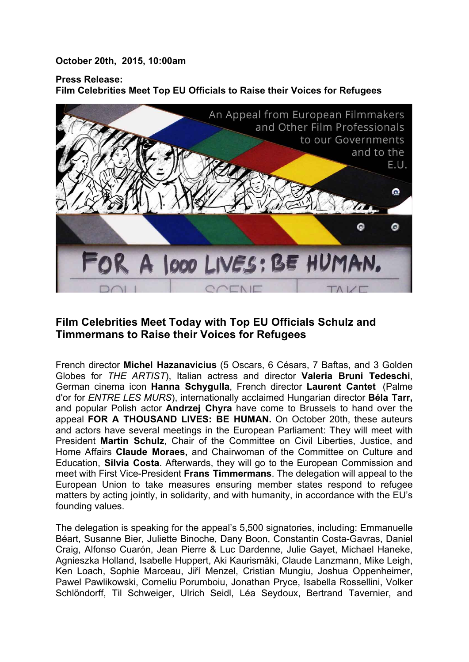## **October 20th, 2015, 10:00am**

## **Press Release: Film Celebrities Meet Top EU Officials to Raise their Voices for Refugees**



## **Film Celebrities Meet Today with Top EU Officials Schulz and Timmermans to Raise their Voices for Refugees**

French director **Michel Hazanavicius** (5 Oscars, 6 Césars, 7 Baftas, and 3 Golden Globes for *THE ARTIST*), Italian actress and director **Valeria Bruni Tedeschi**, German cinema icon **Hanna Schygulla**, French director **Laurent Cantet** (Palme d'or for *ENTRE LES MURS*), internationally acclaimed Hungarian director **Béla Tarr,** and popular Polish actor **Andrzej Chyra** have come to Brussels to hand over the appeal **FOR A THOUSAND LIVES: BE HUMAN.** On October 20th, these auteurs and actors have several meetings in the European Parliament: They will meet with President **Martin Schulz**, Chair of the Committee on Civil Liberties, Justice, and Home Affairs **Claude Moraes,** and Chairwoman of the Committee on Culture and Education, **Silvia Costa**. Afterwards, they will go to the European Commission and meet with First Vice-President **Frans Timmermans**. The delegation will appeal to the European Union to take measures ensuring member states respond to refugee matters by acting jointly, in solidarity, and with humanity, in accordance with the EU's founding values.

The delegation is speaking for the appeal's 5,500 signatories, including: Emmanuelle Béart, Susanne Bier, Juliette Binoche, Dany Boon, Constantin Costa-Gavras, Daniel Craig, Alfonso Cuarón, Jean Pierre & Luc Dardenne, Julie Gayet, Michael Haneke, Agnieszka Holland, Isabelle Huppert, Aki Kaurismäki, Claude Lanzmann, Mike Leigh, Ken Loach, Sophie Marceau, Jiří Menzel, Cristian Mungiu, Joshua Oppenheimer, Pawel Pawlikowski, Corneliu Porumboiu, Jonathan Pryce, Isabella Rossellini, Volker Schlöndorff, Til Schweiger, Ulrich Seidl, Léa Seydoux, Bertrand Tavernier, and